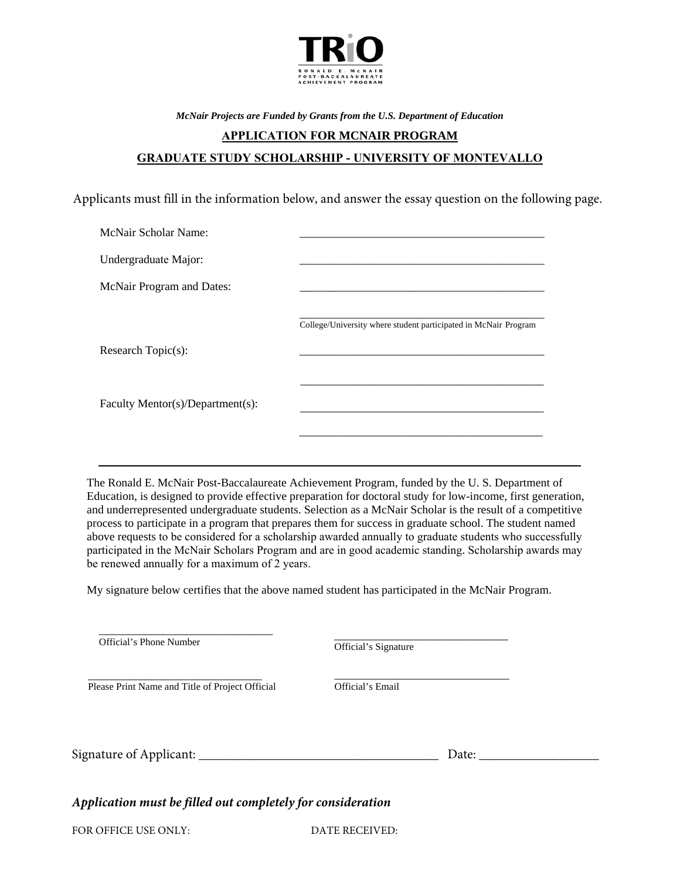

*McNair Projects are Funded by Grants from the U.S. Department of Education* 

## **APPLICATION FOR MCNAIR PROGRAM GRADUATE STUDY SCHOLARSHIP - UNIVERSITY OF MONTEVALLO**

Applicants must fill in the information below, and answer the essay question on the following page.

| McNair Scholar Name:             |                                                                 |
|----------------------------------|-----------------------------------------------------------------|
| Undergraduate Major:             |                                                                 |
| McNair Program and Dates:        |                                                                 |
|                                  | College/University where student participated in McNair Program |
| Research Topic(s):               |                                                                 |
|                                  |                                                                 |
| Faculty Mentor(s)/Department(s): |                                                                 |
|                                  |                                                                 |

The Ronald E. McNair Post-Baccalaureate Achievement Program, funded by the U. S. Department of Education, is designed to provide effective preparation for doctoral study for low-income, first generation, and underrepresented undergraduate students. Selection as a McNair Scholar is the result of a competitive process to participate in a program that prepares them for success in graduate school. The student named above requests to be considered for a scholarship awarded annually to graduate students who successfully participated in the McNair Scholars Program and are in good academic standing. Scholarship awards may be renewed annually for a maximum of 2 years.

My signature below certifies that the above named student has participated in the McNair Program.

| Official's Phone Number                                     | Official's Signature |  |
|-------------------------------------------------------------|----------------------|--|
| Please Print Name and Title of Project Official             | Official's Email     |  |
|                                                             | Date:                |  |
| Application must be filled out completely for consideration |                      |  |
| FOR OFFICE USE ONLY:                                        | DATE RECEIVED:       |  |